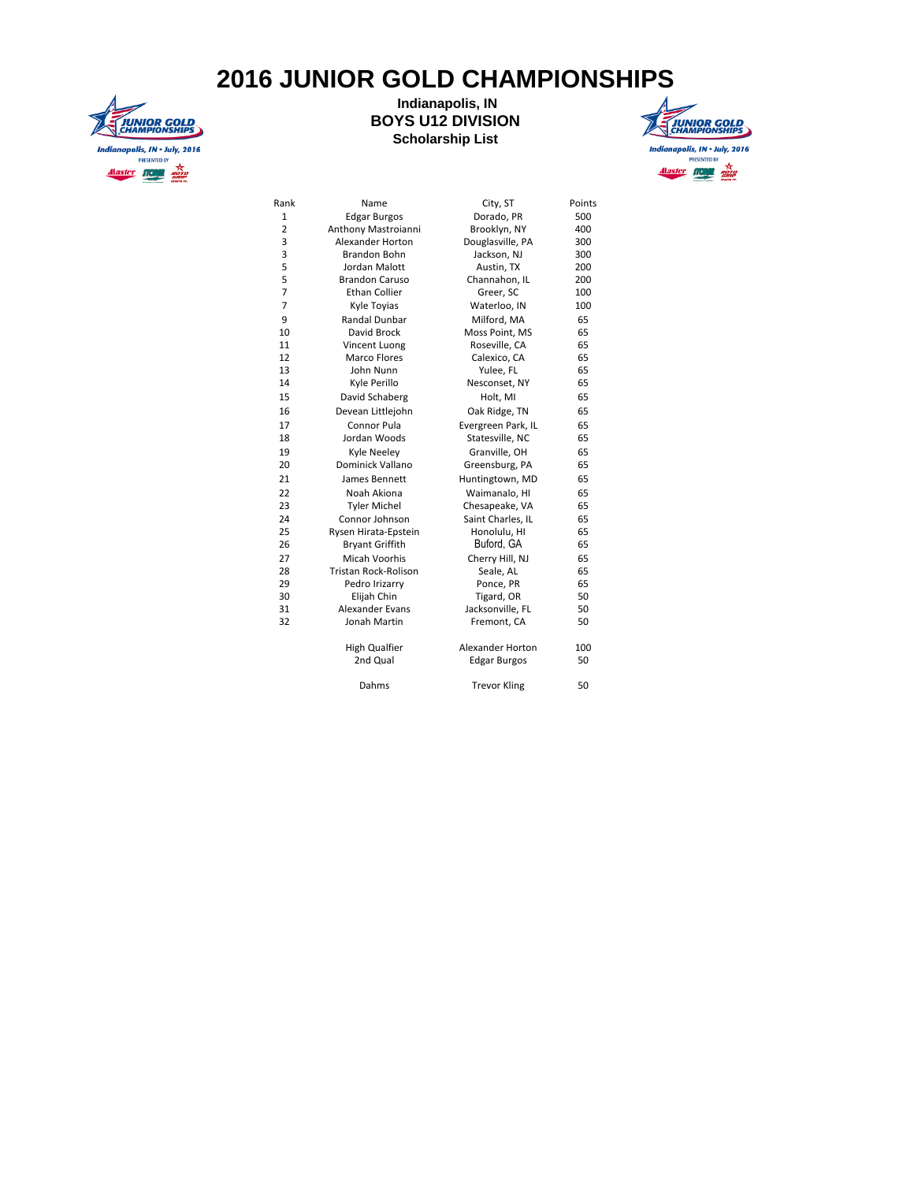## **2016 JUNIOR GOLD CHAMPIONSHIPS**



## **Indianapolis, IN BOYS U12 DIVISION Scholarship List**



| Rank           | Name                   | City, ST                | Points |
|----------------|------------------------|-------------------------|--------|
| 1              | <b>Edgar Burgos</b>    | Dorado, PR              | 500    |
| $\overline{2}$ | Anthony Mastroianni    | Brooklyn, NY            | 400    |
| 3              | Alexander Horton       | Douglasville, PA        | 300    |
| 3              | Brandon Bohn           | Jackson, NJ             | 300    |
| 5              | Jordan Malott          | Austin, TX              | 200    |
| 5              | <b>Brandon Caruso</b>  | Channahon, IL           | 200    |
| $\overline{7}$ | Ethan Collier          | Greer, SC               | 100    |
| $\overline{7}$ | Kyle Toyias            | Waterloo, IN            | 100    |
| 9              | Randal Dunbar          | Milford, MA             | 65     |
| 10             | David Brock            | Moss Point, MS          | 65     |
| 11             | Vincent Luong          | Roseville, CA           | 65     |
| 12             | Marco Flores           | Calexico, CA            | 65     |
| 13             | John Nunn              | Yulee, FL               | 65     |
| 14             | Kyle Perillo           | Nesconset, NY           | 65     |
| 15             | David Schaberg         | Holt, MI                | 65     |
| 16             | Devean Littlejohn      | Oak Ridge, TN           | 65     |
| 17             | Connor Pula            | Evergreen Park, IL      | 65     |
| 18             | Jordan Woods           | Statesville, NC         | 65     |
| 19             | Kyle Neeley            | Granville, OH           | 65     |
| 20             | Dominick Vallano       | Greensburg, PA          | 65     |
| 21             | James Bennett          | Huntingtown, MD         | 65     |
| 22             | Noah Akiona            | Waimanalo, HI           | 65     |
| 23             | <b>Tyler Michel</b>    | Chesapeake, VA          | 65     |
| 24             | Connor Johnson         | Saint Charles, IL       | 65     |
| 25             | Rysen Hirata-Epstein   | Honolulu, HI            | 65     |
| 26             | <b>Bryant Griffith</b> | Buford, GA              | 65     |
| 27             | Micah Voorhis          | Cherry Hill, NJ         | 65     |
| 28             | Tristan Rock-Rolison   | Seale, AL               | 65     |
| 29             | Pedro Irizarry         | Ponce, PR               | 65     |
| 30             | Elijah Chin            | Tigard, OR              | 50     |
| 31             | Alexander Evans        | Jacksonville, FL        | 50     |
| 32             | Jonah Martin           | Fremont, CA             | 50     |
|                | High Qualfier          | <b>Alexander Horton</b> | 100    |
|                | 2nd Qual               | <b>Edgar Burgos</b>     | 50     |
|                | Dahms                  | <b>Trevor Kling</b>     | 50     |